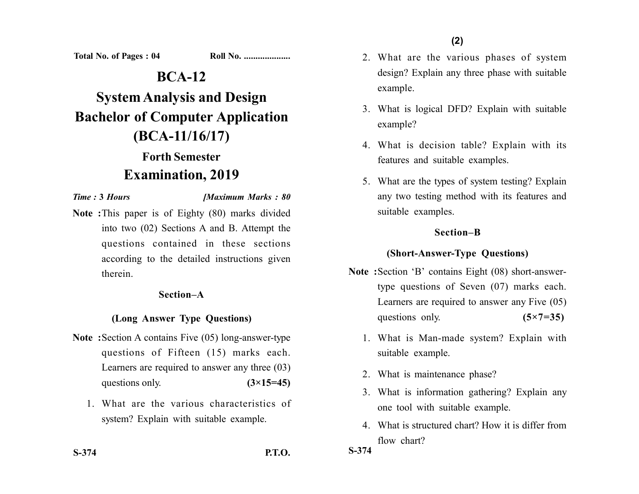Total No. of Pages : 04

| Roll No. |
|----------|
|          |

## **BCA-12**

# **System Analysis and Design Bachelor of Computer Application (BCA-11/16/17)**

# **Forth Semester Examination, 2019**

*Time :* **3** *Hours [Maximum Marks : 80*

**Note :**This paper is of Eighty (80) marks divided into two (02) Sections A and B. Attempt the questions contained in these sections according to the detailed instructions given therein.

#### **Section–A**

### **(Long Answer Type Questions)**

- **Note :**Section A contains Five (05) long-answer-type questions of Fifteen (15) marks each. Learners are required to answer any three (03) questions only.  $(3\times15=45)$ 
	- 1. What are the various characteristics of system? Explain with suitable example.
- **S-374 P.T.O.**
- 2. What are the various phases of system design? Explain any three phase with suitable example.
- 3. What is logical DFD? Explain with suitable example?
- 4. What is decision table? Explain with its features and suitable examples.
- 5. What are the types of system testing? Explain any two testing method with its features and suitable examples.

#### **Section–B**

### **(Short-Answer-Type Questions)**

- **Note :**Section 'B' contains Eight (08) short-answertype questions of Seven (07) marks each. Learners are required to answer any Five (05) questions only. **(5×7=35)** 
	- 1. What is Man-made system? Explain with suitable example.
	- 2. What is maintenance phase?
	- 3. What is information gathering? Explain any one tool with suitable example.
	- 4. What is structured chart? How it is differ from flow chart?

**S-374**